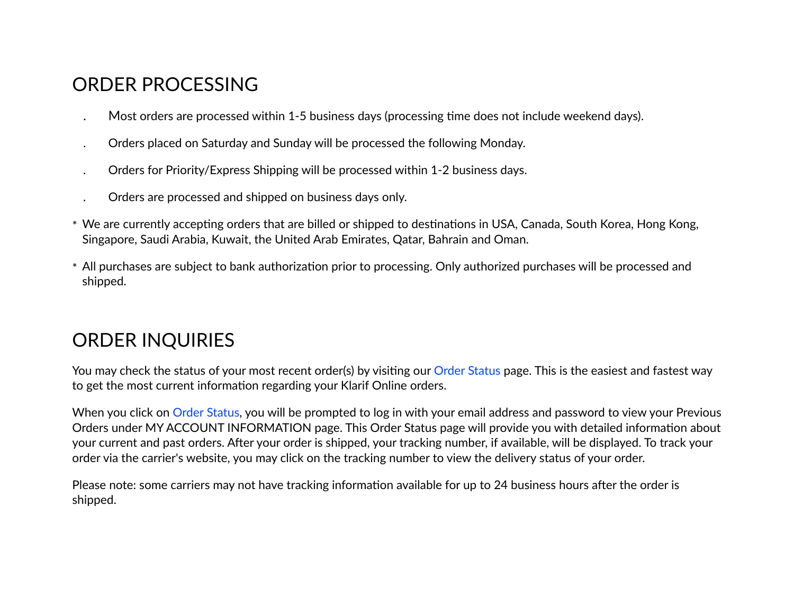### ORDER PROCESSING

- Most orders are processed within 1-5 business days (processing time does not include weekend days).
- . Orders placed on Saturday and Sunday will be processed the following Monday.
- . Orders for Priority/Express Shipping will be processed within 1-2 business days.
- . Orders are processed and shipped on business days only.
- \* We are currently accepting orders that are billed or shipped to destinations in USA, Canada, South Korea, Hong Kong, Singapore, Saudi Arabia, Kuwait, the United Arab Emirates, Qatar, Bahrain and Oman.
- \* All purchases are subject to bank authorization prior to processing. Only authorized purchases will be processed and shipped.

# ORDER INQUIRIES

You may check the status of your most recent order(s) by visiting our Order Status page. This is the easiest and fastest way to get the most current information regarding your Klarif Online orders.

When you click on Order Status, you will be prompted to log in with your email address and password to view your Previous Orders under MY ACCOUNT INFORMATION page. This Order Status page will provide you with detailed information about your current and past orders. After your order is shipped, your tracking number, if available, will be displayed. To track your order via the carrier's website, you may click on the tracking number to view the delivery status of your order.

Please note: some carriers may not have tracking information available for up to 24 business hours after the order is shipped.